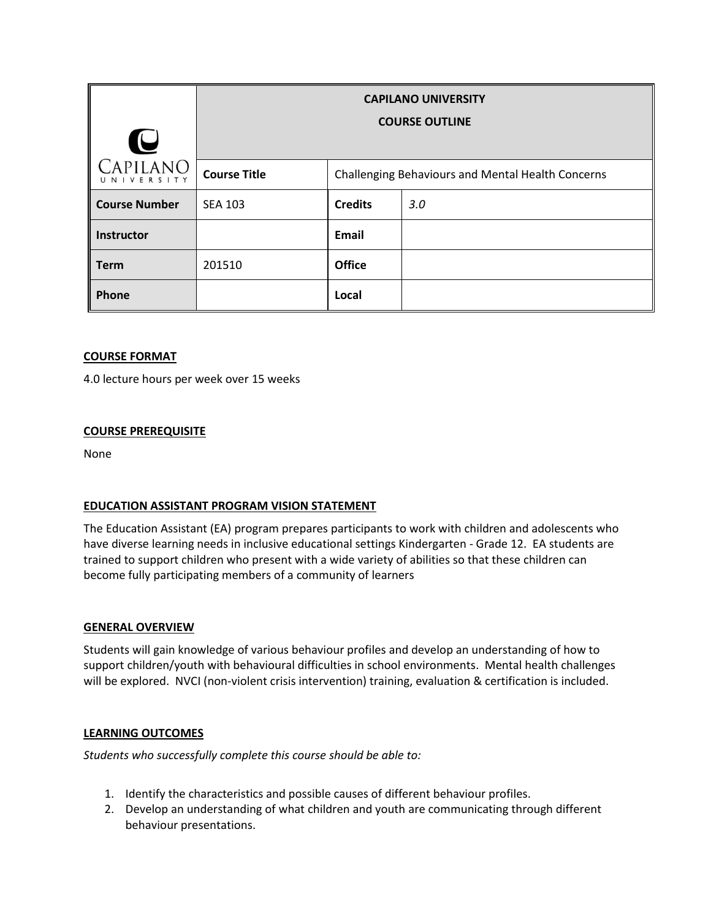| U                     | <b>CAPILANO UNIVERSITY</b><br><b>COURSE OUTLINE</b> |                                                   |     |
|-----------------------|-----------------------------------------------------|---------------------------------------------------|-----|
| APILANO<br>UNIVERSITY | <b>Course Title</b>                                 | Challenging Behaviours and Mental Health Concerns |     |
| <b>Course Number</b>  | <b>SEA 103</b>                                      | <b>Credits</b>                                    | 3.0 |
| Instructor            |                                                     | <b>Email</b>                                      |     |
| <b>Term</b>           | 201510                                              | <b>Office</b>                                     |     |
| Phone                 |                                                     | Local                                             |     |

# **COURSE FORMAT**

4.0 lecture hours per week over 15 weeks

## **COURSE PREREQUISITE**

None

## **EDUCATION ASSISTANT PROGRAM VISION STATEMENT**

The Education Assistant (EA) program prepares participants to work with children and adolescents who have diverse learning needs in inclusive educational settings Kindergarten - Grade 12. EA students are trained to support children who present with a wide variety of abilities so that these children can become fully participating members of a community of learners

## **GENERAL OVERVIEW**

Students will gain knowledge of various behaviour profiles and develop an understanding of how to support children/youth with behavioural difficulties in school environments. Mental health challenges will be explored. NVCI (non-violent crisis intervention) training, evaluation & certification is included.

## **LEARNING OUTCOMES**

*Students who successfully complete this course should be able to:*

- 1. Identify the characteristics and possible causes of different behaviour profiles.
- 2. Develop an understanding of what children and youth are communicating through different behaviour presentations.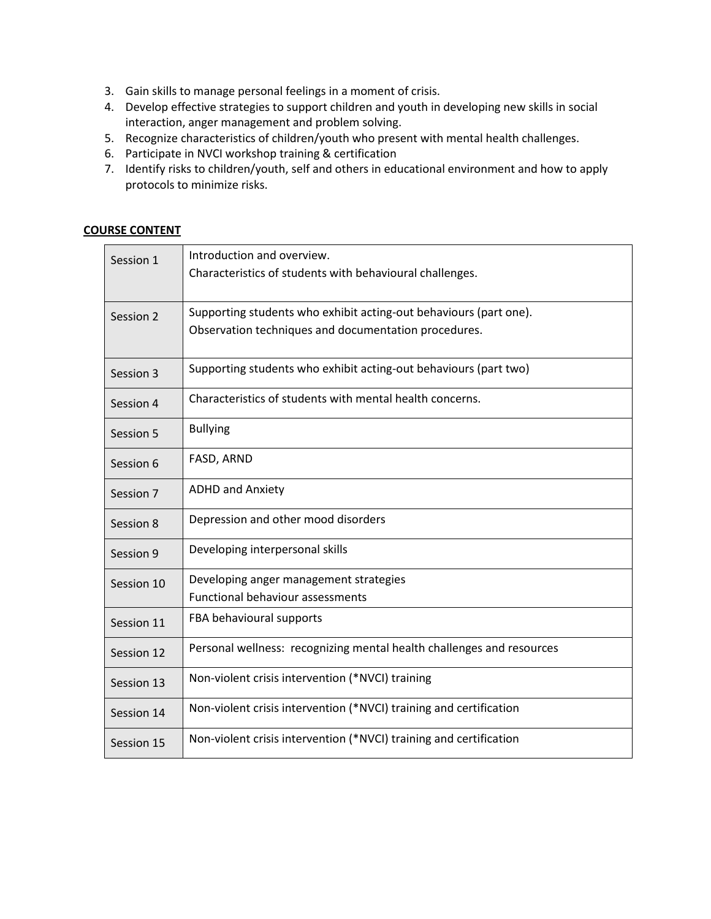- 3. Gain skills to manage personal feelings in a moment of crisis.
- 4. Develop effective strategies to support children and youth in developing new skills in social interaction, anger management and problem solving.
- 5. Recognize characteristics of children/youth who present with mental health challenges.
- 6. Participate in NVCI workshop training & certification
- 7. Identify risks to children/youth, self and others in educational environment and how to apply protocols to minimize risks.

## **COURSE CONTENT**

| Session 1  | Introduction and overview.<br>Characteristics of students with behavioural challenges.                                    |
|------------|---------------------------------------------------------------------------------------------------------------------------|
| Session 2  | Supporting students who exhibit acting-out behaviours (part one).<br>Observation techniques and documentation procedures. |
| Session 3  | Supporting students who exhibit acting-out behaviours (part two)                                                          |
| Session 4  | Characteristics of students with mental health concerns.                                                                  |
| Session 5  | <b>Bullying</b>                                                                                                           |
| Session 6  | FASD, ARND                                                                                                                |
| Session 7  | <b>ADHD and Anxiety</b>                                                                                                   |
| Session 8  | Depression and other mood disorders                                                                                       |
| Session 9  | Developing interpersonal skills                                                                                           |
| Session 10 | Developing anger management strategies<br><b>Functional behaviour assessments</b>                                         |
| Session 11 | FBA behavioural supports                                                                                                  |
| Session 12 | Personal wellness: recognizing mental health challenges and resources                                                     |
| Session 13 | Non-violent crisis intervention (*NVCI) training                                                                          |
| Session 14 | Non-violent crisis intervention (*NVCI) training and certification                                                        |
| Session 15 | Non-violent crisis intervention (*NVCI) training and certification                                                        |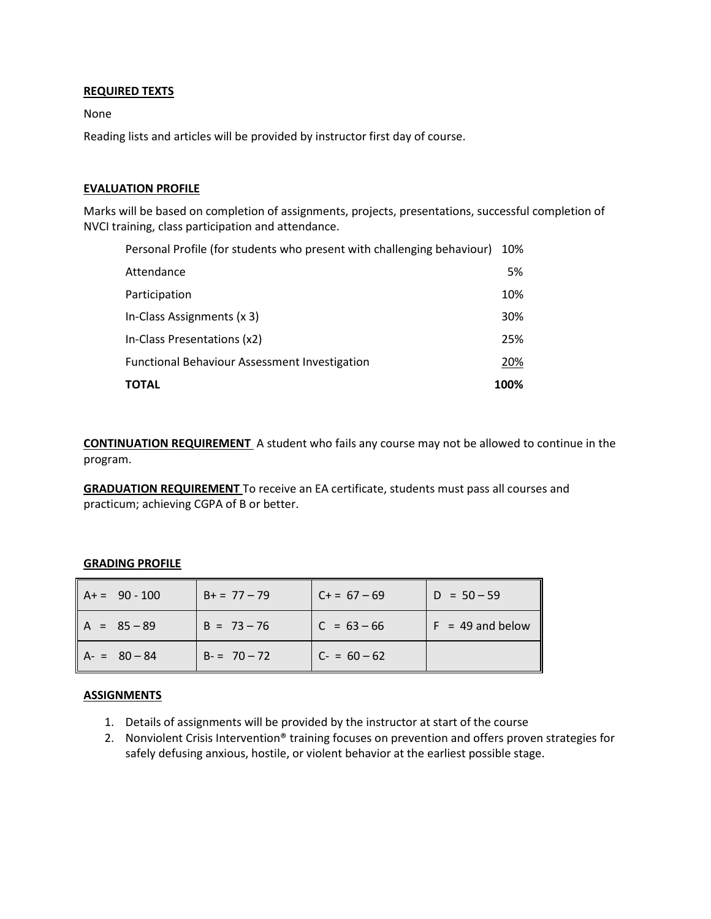## **REQUIRED TEXTS**

None

Reading lists and articles will be provided by instructor first day of course.

#### **EVALUATION PROFILE**

Marks will be based on completion of assignments, projects, presentations, successful completion of NVCI training, class participation and attendance.

| Personal Profile (for students who present with challenging behaviour) |            |
|------------------------------------------------------------------------|------------|
| Attendance                                                             | 5%         |
| Participation                                                          | 10%        |
| In-Class Assignments (x 3)                                             | <b>30%</b> |
| In-Class Presentations (x2)                                            | 25%        |
| <b>Functional Behaviour Assessment Investigation</b>                   |            |
| <b>TOTAL</b>                                                           | 100%       |

**CONTINUATION REQUIREMENT** A student who fails any course may not be allowed to continue in the program.

**GRADUATION REQUIREMENT** To receive an EA certificate, students must pass all courses and practicum; achieving CGPA of B or better.

#### **GRADING PROFILE**

| $A+=90-100$   | $B_+ = 77 - 79$ | $C+= 67-69$   | $D = 50 - 59$      |
|---------------|-----------------|---------------|--------------------|
| $A = 85 - 89$ | $B = 73 - 76$   | $C = 63 - 66$ | $F = 49$ and below |
| $A - 80 - 84$ | $B = 70 - 72$   | $C - 60 - 62$ |                    |

#### **ASSIGNMENTS**

- 1. Details of assignments will be provided by the instructor at start of the course
- 2. Nonviolent Crisis Intervention® training focuses on prevention and offers proven strategies for safely defusing anxious, hostile, or violent behavior at the earliest possible stage.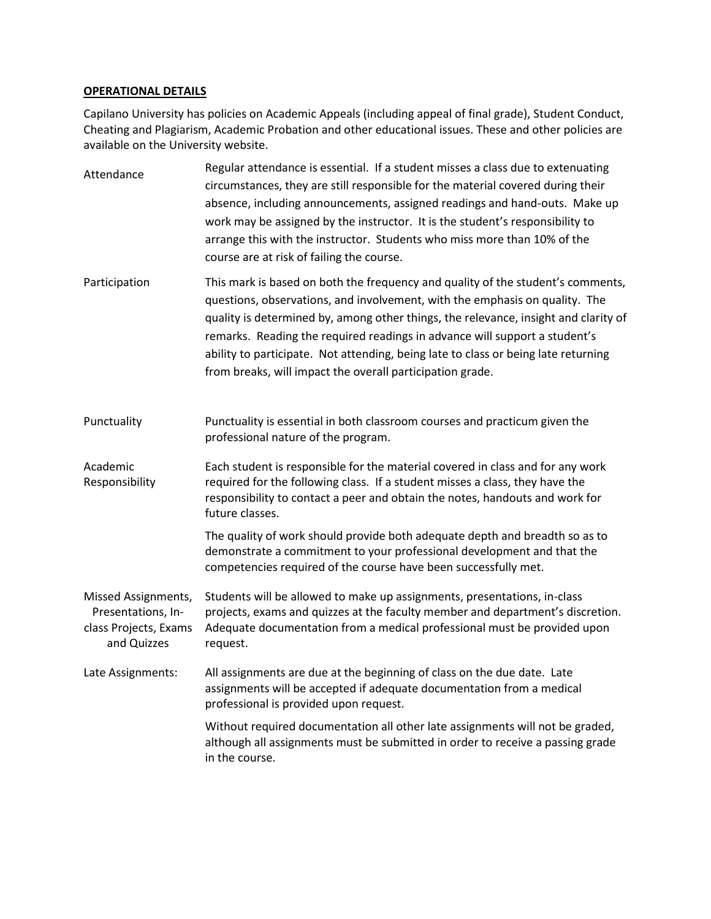#### **OPERATIONAL DETAILS**

Capilano University has policies on Academic Appeals (including appeal of final grade), Student Conduct, Cheating and Plagiarism, Academic Probation and other educational issues. These and other policies are available on the University website.

Attendance Regular attendance is essential. If a student misses a class due to extenuating circumstances, they are still responsible for the material covered during their absence, including announcements, assigned readings and hand-outs. Make up work may be assigned by the instructor. It is the student's responsibility to arrange this with the instructor. Students who miss more than 10% of the course are at risk of failing the course. Participation This mark is based on both the frequency and quality of the student's comments, questions, observations, and involvement, with the emphasis on quality. The quality is determined by, among other things, the relevance, insight and clarity of remarks. Reading the required readings in advance will support a student's ability to participate. Not attending, being late to class or being late returning from breaks, will impact the overall participation grade. Punctuality Punctuality is essential in both classroom courses and practicum given the professional nature of the program. Academic Responsibility Each student is responsible for the material covered in class and for any work required for the following class. If a student misses a class, they have the responsibility to contact a peer and obtain the notes, handouts and work for future classes. The quality of work should provide both adequate depth and breadth so as to demonstrate a commitment to your professional development and that the competencies required of the course have been successfully met. Missed Assignments, Presentations, Inclass Projects, Exams and Quizzes Students will be allowed to make up assignments, presentations, in-class projects, exams and quizzes at the faculty member and department's discretion. Adequate documentation from a medical professional must be provided upon request. Late Assignments: All assignments are due at the beginning of class on the due date. Late assignments will be accepted if adequate documentation from a medical professional is provided upon request. Without required documentation all other late assignments will not be graded, although all assignments must be submitted in order to receive a passing grade in the course.